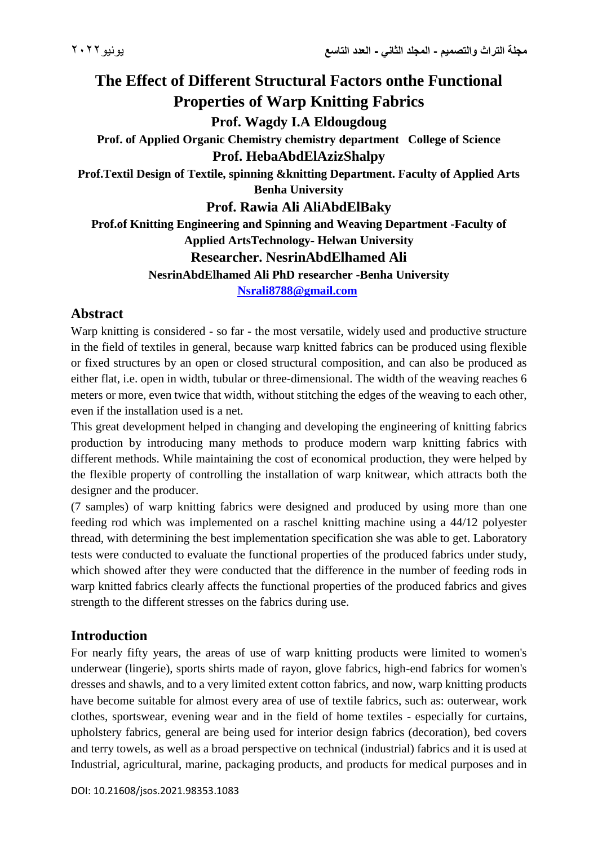# **The Effect of Different Structural Factors onthe Functional Properties of Warp Knitting Fabrics**

**Prof. Wagdy I.A Eldougdoug**

**Prof. of Applied Organic Chemistry chemistry department College of Science Prof. HebaAbdElAzizShalpy**

**Prof.Textil Design of Textile, spinning &knitting Department. Faculty of Applied Arts Benha University**

**Prof. Rawia Ali AliAbdElBaky**

**Prof.of Knitting Engineering and Spinning and Weaving Department -Faculty of Applied ArtsTechnology- Helwan University**

## **Researcher. NesrinAbdElhamed Ali**

**NesrinAbdElhamed Ali PhD researcher -Benha University**

**[Nsrali8788@gmail.com](mailto:Nsrali8788@gmail.com)**

## **Abstract**

Warp knitting is considered - so far - the most versatile, widely used and productive structure in the field of textiles in general, because warp knitted fabrics can be produced using flexible or fixed structures by an open or closed structural composition, and can also be produced as either flat, i.e. open in width, tubular or three-dimensional. The width of the weaving reaches 6 meters or more, even twice that width, without stitching the edges of the weaving to each other, even if the installation used is a net.

This great development helped in changing and developing the engineering of knitting fabrics production by introducing many methods to produce modern warp knitting fabrics with different methods. While maintaining the cost of economical production, they were helped by the flexible property of controlling the installation of warp knitwear, which attracts both the designer and the producer.

(7 samples) of warp knitting fabrics were designed and produced by using more than one feeding rod which was implemented on a raschel knitting machine using a 44/12 polyester thread, with determining the best implementation specification she was able to get. Laboratory tests were conducted to evaluate the functional properties of the produced fabrics under study, which showed after they were conducted that the difference in the number of feeding rods in warp knitted fabrics clearly affects the functional properties of the produced fabrics and gives strength to the different stresses on the fabrics during use.

## **Introduction**

For nearly fifty years, the areas of use of warp knitting products were limited to women's underwear (lingerie), sports shirts made of rayon, glove fabrics, high-end fabrics for women's dresses and shawls, and to a very limited extent cotton fabrics, and now, warp knitting products have become suitable for almost every area of use of textile fabrics, such as: outerwear, work clothes, sportswear, evening wear and in the field of home textiles - especially for curtains, upholstery fabrics, general are being used for interior design fabrics (decoration), bed covers and terry towels, as well as a broad perspective on technical (industrial) fabrics and it is used at Industrial, agricultural, marine, packaging products, and products for medical purposes and in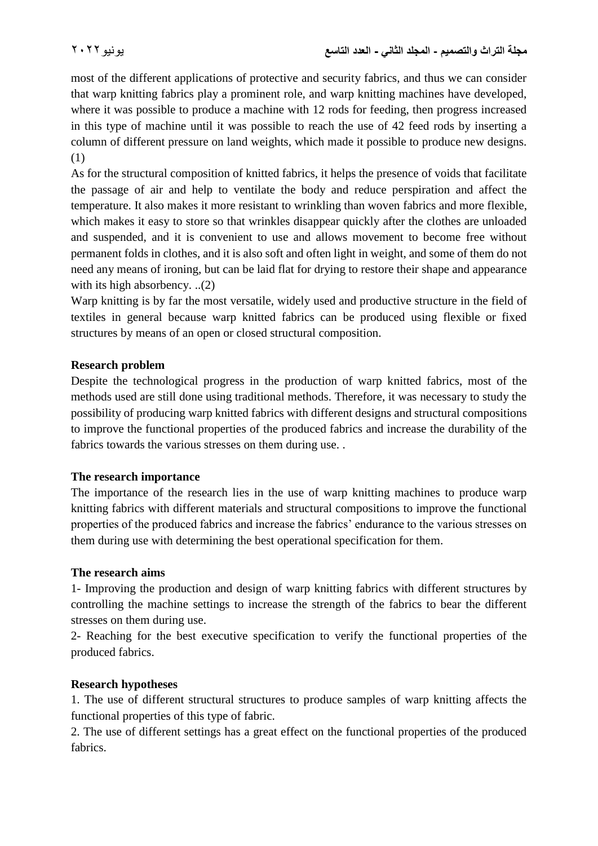most of the different applications of protective and security fabrics, and thus we can consider that warp knitting fabrics play a prominent role, and warp knitting machines have developed, where it was possible to produce a machine with 12 rods for feeding, then progress increased in this type of machine until it was possible to reach the use of 42 feed rods by inserting a column of different pressure on land weights, which made it possible to produce new designs. (1)

As for the structural composition of knitted fabrics, it helps the presence of voids that facilitate the passage of air and help to ventilate the body and reduce perspiration and affect the temperature. It also makes it more resistant to wrinkling than woven fabrics and more flexible, which makes it easy to store so that wrinkles disappear quickly after the clothes are unloaded and suspended, and it is convenient to use and allows movement to become free without permanent folds in clothes, and it is also soft and often light in weight, and some of them do not need any means of ironing, but can be laid flat for drying to restore their shape and appearance with its high absorbency. ..(2)

Warp knitting is by far the most versatile, widely used and productive structure in the field of textiles in general because warp knitted fabrics can be produced using flexible or fixed structures by means of an open or closed structural composition.

### **Research problem**

Despite the technological progress in the production of warp knitted fabrics, most of the methods used are still done using traditional methods. Therefore, it was necessary to study the possibility of producing warp knitted fabrics with different designs and structural compositions to improve the functional properties of the produced fabrics and increase the durability of the fabrics towards the various stresses on them during use. .

### **The research importance**

The importance of the research lies in the use of warp knitting machines to produce warp knitting fabrics with different materials and structural compositions to improve the functional properties of the produced fabrics and increase the fabrics' endurance to the various stresses on them during use with determining the best operational specification for them.

### **The research aims**

1- Improving the production and design of warp knitting fabrics with different structures by controlling the machine settings to increase the strength of the fabrics to bear the different stresses on them during use.

2- Reaching for the best executive specification to verify the functional properties of the produced fabrics.

### **Research hypotheses**

1. The use of different structural structures to produce samples of warp knitting affects the functional properties of this type of fabric.

2. The use of different settings has a great effect on the functional properties of the produced fabrics.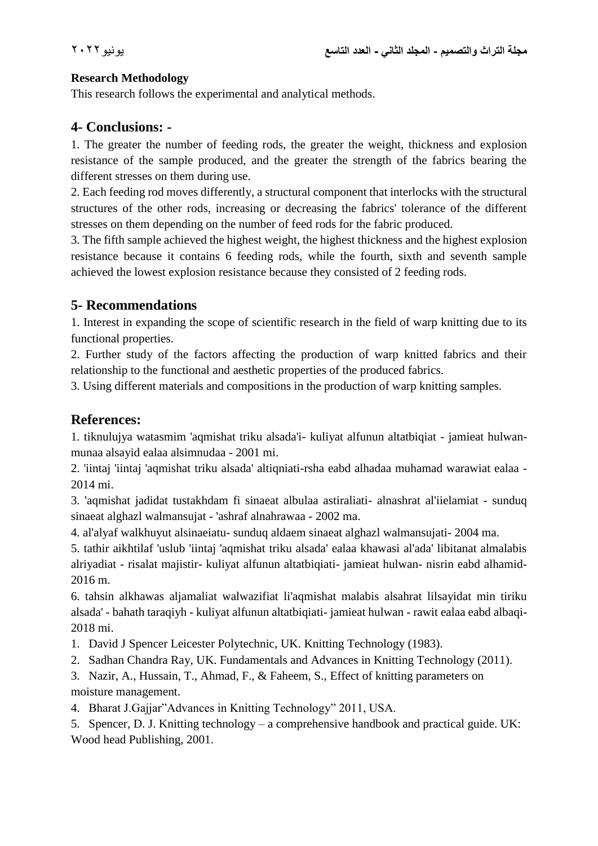#### **Research Methodology**

This research follows the experimental and analytical methods.

## **4- Conclusions: -**

1. The greater the number of feeding rods, the greater the weight, thickness and explosion resistance of the sample produced, and the greater the strength of the fabrics bearing the different stresses on them during use.

2. Each feeding rod moves differently, a structural component that interlocks with the structural structures of the other rods, increasing or decreasing the fabrics' tolerance of the different stresses on them depending on the number of feed rods for the fabric produced.

3. The fifth sample achieved the highest weight, the highest thickness and the highest explosion resistance because it contains 6 feeding rods, while the fourth, sixth and seventh sample achieved the lowest explosion resistance because they consisted of 2 feeding rods.

## **5- Recommendations**

1. Interest in expanding the scope of scientific research in the field of warp knitting due to its functional properties.

2. Further study of the factors affecting the production of warp knitted fabrics and their relationship to the functional and aesthetic properties of the produced fabrics.

3. Using different materials and compositions in the production of warp knitting samples.

## **References:**

1. tiknulujya watasmim 'aqmishat triku alsada'i- kuliyat alfunun altatbiqiat - jamieat hulwanmunaa alsayid ealaa alsimnudaa - 2001 mi.

2. 'iintaj 'iintaj 'aqmishat triku alsada' altiqniati-rsha eabd alhadaa muhamad warawiat ealaa - 2014 mi.

3. 'aqmishat jadidat tustakhdam fi sinaeat albulaa astiraliati- alnashrat al'iielamiat - sunduq sinaeat alghazl walmansujat - 'ashraf alnahrawaa - 2002 ma.

4. al'alyaf walkhuyut alsinaeiatu- sunduq aldaem sinaeat alghazl walmansujati- 2004 ma.

5. tathir aikhtilaf 'uslub 'iintaj 'aqmishat triku alsada' ealaa khawasi al'ada' libitanat almalabis alriyadiat - risalat majistir- kuliyat alfunun altatbiqiati- jamieat hulwan- nisrin eabd alhamid-2016 m.

6. tahsin alkhawas aljamaliat walwazifiat li'aqmishat malabis alsahrat lilsayidat min tiriku alsada' - bahath taraqiyh - kuliyat alfunun altatbiqiati- jamieat hulwan - rawit ealaa eabd albaqi-2018 mi.

1. David J Spencer Leicester Polytechnic, UK. Knitting Technology (1983).

2. Sadhan Chandra Ray, UK. Fundamentals and Advances in Knitting Technology (2011).

3. Nazir, A., Hussain, T., Ahmad, F., & Faheem, S., Effect of knitting parameters on moisture management.

4. Bharat J.Gajjar"Advances in Knitting Technology" 2011, USA.

5. Spencer, D. J. Knitting technology – a comprehensive handbook and practical guide. UK: Wood head Publishing, 2001.